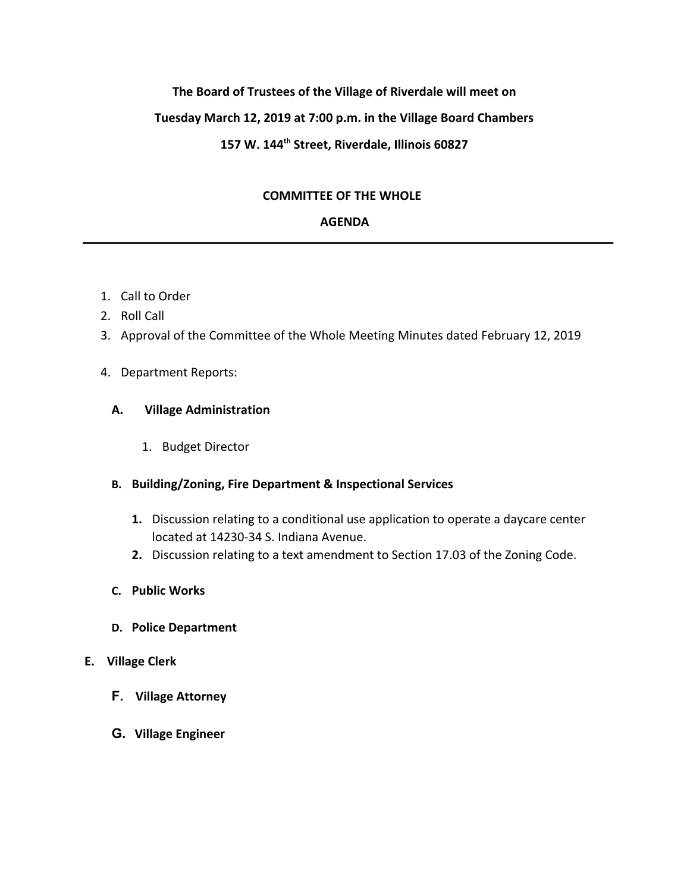# **The Board of Trustees of the Village of Riverdale will meet on Tuesday March 12, 2019 at 7:00 p.m. in the Village Board Chambers 157 W. 144th Street, Riverdale, Illinois 60827**

# **COMMITTEE OF THE WHOLE**

# **AGENDA**

- 1. Call to Order
- 2. Roll Call
- 3. Approval of the Committee of the Whole Meeting Minutes dated February 12, 2019
- 4. Department Reports:

# **A. Village Administration**

1. Budget Director

# **B. Building/Zoning, Fire Department & Inspectional Services**

- **1.** Discussion relating to a conditional use application to operate a daycare center located at 14230-34 S. Indiana Avenue.
- **2.** Discussion relating to a text amendment to Section 17.03 of the Zoning Code.
- **C. Public Works**
- **D. Police Department**

#### **E. Village Clerk**

- **F. Village Attorney**
- **G. Village Engineer**